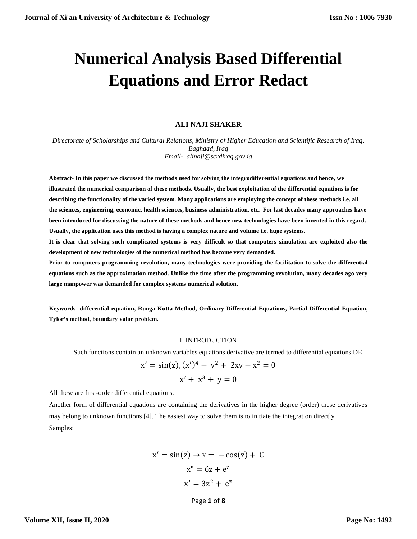# **Numerical Analysis Based Differential Equations and Error Redact**

## **ALI NAJI SHAKER**

*Directorate of Scholarships and Cultural Relations, Ministry of Higher Education and Scientific Research of Iraq, Baghdad, Iraq Email- alinaji@scrdiraq.gov.iq*

**Abstract- In this paper we discussed the methods used for solving the integrodifferential equations and hence, we illustrated the numerical comparison of these methods. Usually, the best exploitation of the differential equations is for describing the functionality of the varied system. Many applications are employing the concept of these methods i.e. all the sciences, engineering, economic, health sciences, business administration, etc. For last decades many approaches have been introduced for discussing the nature of these methods and hence new technologies have been invented in this regard. Usually, the application uses this method is having a complex nature and volume i.e. huge systems.**

**It is clear that solving such complicated systems is very difficult so that computers simulation are exploited also the development of new technologies of the numerical method has become very demanded.**

**Prior to computers programming revolution, many technologies were providing the facilitation to solve the differential equations such as the approximation method. Unlike the time after the programming revolution, many decades ago very large manpower was demanded for complex systems numerical solution.**

**Keywords- differential equation, Runga-Kutta Method, Ordinary Differential Equations, Partial Differential Equation, Tylor's method, boundary value problem.**

## I. INTRODUCTION

Such functions contain an unknown variables equations derivative are termed to differential equations DE

$$
x' = \sin(z), (x')^{4} - y^{2} + 2xy - x^{2} = 0
$$
  

$$
x' + x^{3} + y = 0
$$

All these are first-order differential equations.

Another form of differential equations are containing the derivatives in the higher degree (order) these derivatives may belong to unknown functions [4]. The easiest way to solve them is to initiate the integration directly. Samples:

$$
x' = \sin(z) \rightarrow x = -\cos(z) + C
$$

$$
x'' = 6z + e^{z}
$$

$$
x' = 3z^{2} + e^{z}
$$

Page **1** of **8**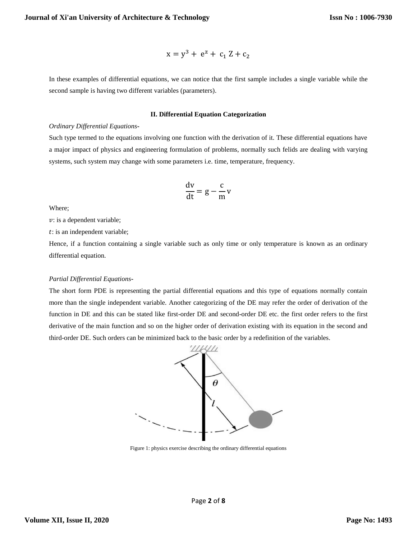$$
x = y^3 + e^z + c_1 Z + c_2
$$

In these examples of differential equations, we can notice that the first sample includes a single variable while the second sample is having two different variables (parameters).

#### **II. Differential Equation Categorization**

#### *Ordinary Differential Equations***-**

Such type termed to the equations involving one function with the derivation of it. These differential equations have a major impact of physics and engineering formulation of problems, normally such felids are dealing with varying systems, such system may change with some parameters i.e. time, temperature, frequency.

$$
\frac{dv}{dt} = g - \frac{c}{m}v
$$

Where;

 $v:$  is a dependent variable;

: is an independent variable;

Hence, if a function containing a single variable such as only time or only temperature is known as an ordinary differential equation.

## *Partial Differential Equations***-**

The short form PDE is representing the partial differential equations and this type of equations normally contain more than the single independent variable. Another categorizing of the DE may refer the order of derivation of the function in DE and this can be stated like first-order DE and second-order DE etc. the first order refers to the first derivative of the main function and so on the higher order of derivation existing with its equation in the second and third-order DE. Such orders can be minimized back to the basic order by a redefinition of the variables.



Figure 1: physics exercise describing the ordinary differential equations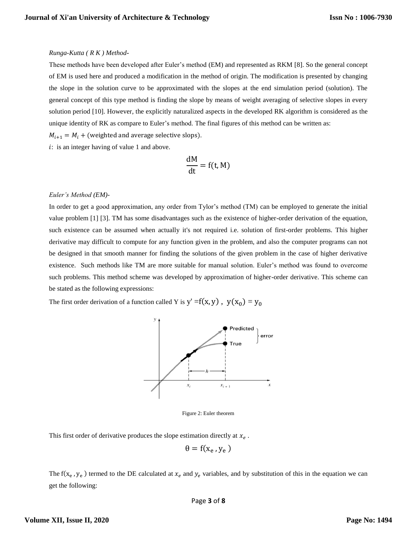#### *Runga-Kutta ( R K ) Method***-**

These methods have been developed after Euler's method (EM) and represented as RKM [8]. So the general concept of EM is used here and produced a modification in the method of origin. The modification is presented by changing the slope in the solution curve to be approximated with the slopes at the end simulation period (solution). The general concept of this type method is finding the slope by means of weight averaging of selective slopes in every solution period [10]. However, the explicitly naturalized aspects in the developed RK algorithm is considered as the unique identity of RK as compare to Euler's method. The final figures of this method can be written as:

 $M_{i+1} = M_i +$  (weighted and average selective slops).

: is an integer having of value 1 and above.

$$
\frac{\mathrm{d}M}{\mathrm{dt}} = f(t, M)
$$

### *Euler's Method (EM)-*

In order to get a good approximation, any order from Tylor's method (TM) can be employed to generate the initial value problem [1] [3]. TM has some disadvantages such as the existence of higher-order derivation of the equation, such existence can be assumed when actually it's not required i.e. solution of first-order problems. This higher derivative may difficult to compute for any function given in the problem, and also the computer programs can not be designed in that smooth manner for finding the solutions of the given problem in the case of higher derivative existence. Such methods like TM are more suitable for manual solution. Euler's method was found to overcome such problems. This method scheme was developed by approximation of higher-order derivative. This scheme can be stated as the following expressions:

The first order derivation of a function called Y is  $y' = f(x, y)$ ,  $y(x_0) = y_0$ 



Figure 2: Euler theorem

This first order of derivative produces the slope estimation directly at  $x_e$ .

$$
\theta = f(x_e, y_e)
$$

The f( $x_e$ ,  $y_e$ ) termed to the DE calculated at  $x_e$  and  $y_e$  variables, and by substitution of this in the equation we can get the following: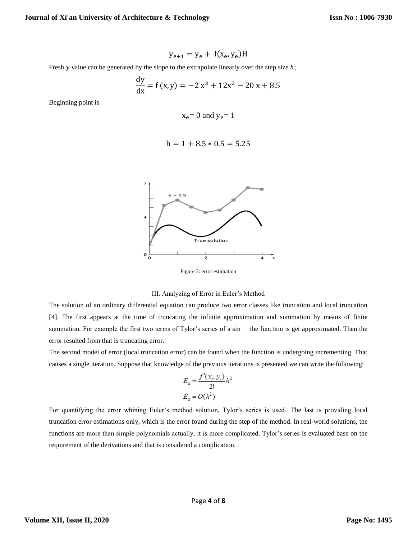$$
y_{e+1} = y_e + f(x_e, y_e)H
$$

Fresh  $y$  value can be generated by the slope to the extrapolate linearly over the step size  $h$ ;

$$
\frac{dy}{dx} = f(x, y) = -2x^3 + 12x^2 - 20x + 8.5
$$

Beginning point is

$$
x_e = 0
$$
 and  $y_e = 1$ 

$$
h = 1 + 8.5 * 0.5 = 5.25
$$



Figure 3: error estimation

#### III. Analyzing of Error in Euler's Method

The solution of an ordinary differential equation can produce two error classes like truncation and local truncation [4]. The first appears at the time of truncating the infinite approximation and summation by means of finite summation. For example the first two terms of Tylor's series of a sin the function is get approximated. Then the error resulted from that is truncating error.

The second model of error (local truncation error) can be found when the function is undergoing incrementing. That causes a single iteration. Suppose that knowledge of the previous iterations is presented we can write the following:

$$
E_a = \frac{f'(x_i, y_i)}{2!}h^2
$$
  

$$
E_a = O(h^2)
$$

For quantifying the error whining Euler's method solution, Tylor's series is used. The last is providing local truncation error estimations only, which is the error found during the step of the method. In real-world solutions, the functions are more than simple polynomials actually, it is more complicated. Tylor's series is evaluated base on the requirement of the derivations and that is considered a complication.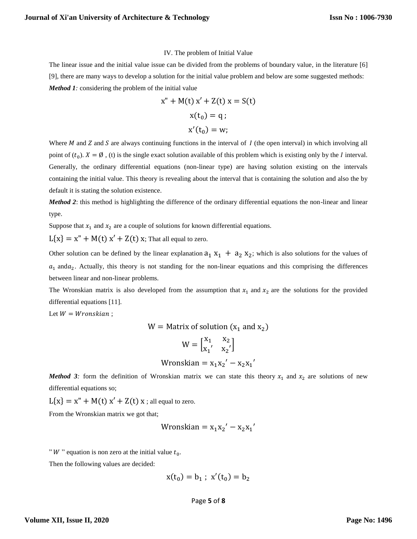#### IV. The problem of Initial Value

The linear issue and the initial value issue can be divided from the problems of boundary value, in the literature [6] [9], there are many ways to develop a solution for the initial value problem and below are some suggested methods: *Method 1:* considering the problem of the initial value

$$
x'' + M(t) x' + Z(t) x = S(t)
$$
  

$$
x(t_0) = q ;
$$
  

$$
x'(t_0) = w;
$$

Where  $M$  and  $S$  and  $S$  are always continuing functions in the interval of  $I$  (the open interval) in which involving all point of  $(t_0)$ .  $X = \emptyset$ , (t) is the single exact solution available of this problem which is existing only by the *I* interval. Generally, the ordinary differential equations (non-linear type) are having solution existing on the intervals containing the initial value. This theory is revealing about the interval that is containing the solution and also the by default it is stating the solution existence.

*Method 2*: this method is highlighting the difference of the ordinary differential equations the non-linear and linear type.

Suppose that  $x_1$  and  $x_2$  are a couple of solutions for known differential equations.

 $L{x} = x'' + M(t) x' + Z(t) x$ ; That all equal to zero.

Other solution can be defined by the linear explanation  $a_1 x_1 + a_2 x_2$ ; which is also solutions for the values of  $a_1$  and  $a_2$ . Actually, this theory is not standing for the non-linear equations and this comprising the differences between linear and non-linear problems.

The Wronskian matrix is also developed from the assumption that  $x_1$  and  $x_2$  are the solutions for the provided differential equations [11].

Let  $W = W$ ronskian;

$$
W =
$$
 Matrix of solution ( $x_1$  and  $x_2$ )

$$
W=\begin{bmatrix}x_1&x_2\\x_1'&x_2'\end{bmatrix}
$$

$$
Wronskian = x_1x_2' - x_2x_1'
$$

*Method 3:* form the definition of Wronskian matrix we can state this theory  $x_1$  and  $x_2$  are solutions of new differential equations so;

 $L{x} = x'' + M(t) x' + Z(t) x$ ; all equal to zero.

From the Wronskian matrix we got that;

$$
Wronskian = x_1x_2' - x_2x_1'
$$

"  $W$ " equation is non zero at the initial value  $t_0$ .

Then the following values are decided:

$$
x(t_0) = b_1
$$
;  $x'(t_0) = b_2$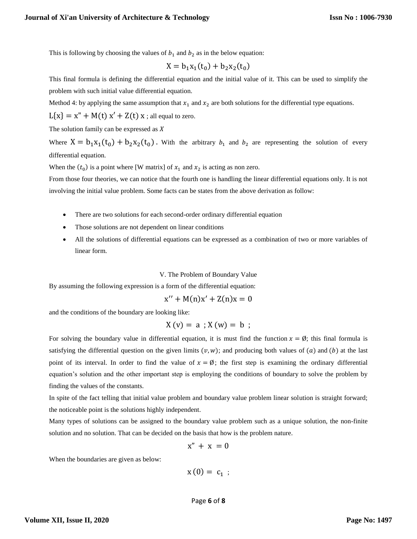This is following by choosing the values of  $b_1$  and  $b_2$  as in the below equation:

$$
X = b_1 x_1(t_0) + b_2 x_2(t_0)
$$

This final formula is defining the differential equation and the initial value of it. This can be used to simplify the problem with such initial value differential equation.

Method 4: by applying the same assumption that  $x_1$  and  $x_2$  are both solutions for the differential type equations.

 $L{x} = x'' + M(t) x' + Z(t) x$ ; all equal to zero.

The solution family can be expressed as  $X$ 

Where  $X = b_1x_1(t_0) + b_2x_2(t_0)$ . With the arbitrary  $b_1$  and  $b_2$  are representing the solution of every differential equation.

When the  $(t_0)$  is a point where [W matrix] of  $x_1$  and  $x_2$  is acting as non zero.

From those four theories, we can notice that the fourth one is handling the linear differential equations only. It is not involving the initial value problem. Some facts can be states from the above derivation as follow:

- There are two solutions for each second-order ordinary differential equation
- Those solutions are not dependent on linear conditions
- All the solutions of differential equations can be expressed as a combination of two or more variables of linear form.

#### V. The Problem of Boundary Value

By assuming the following expression is a form of the differential equation:

$$
x'' + M(n)x' + Z(n)x = 0
$$

and the conditions of the boundary are looking like:

$$
X(v) = a ; X(w) = b ;
$$

For solving the boundary value in differential equation, it is must find the function  $x = \emptyset$ ; this final formula is satisfying the differential question on the given limits  $(v, w)$ ; and producing both values of  $(a)$  and  $(b)$  at the last point of its interval. In order to find the value of  $x = \emptyset$ ; the first step is examining the ordinary differential equation's solution and the other important step is employing the conditions of boundary to solve the problem by finding the values of the constants.

In spite of the fact telling that initial value problem and boundary value problem linear solution is straight forward; the noticeable point is the solutions highly independent.

Many types of solutions can be assigned to the boundary value problem such as a unique solution, the non-finite solution and no solution. That can be decided on the basis that how is the problem nature.

$$
x'' + x = 0
$$

When the boundaries are given as below:

$$
x(0)=c_1;
$$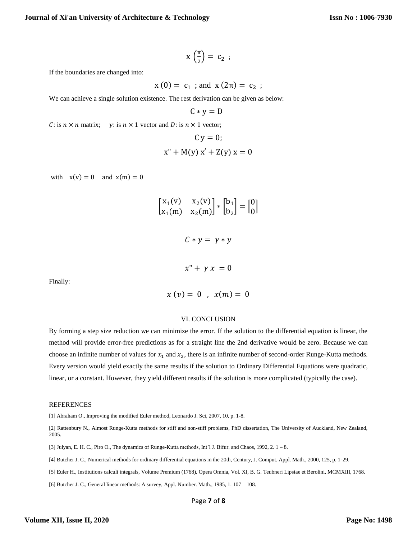$$
x\left(\frac{\pi}{2}\right) = c_2 ;
$$

If the boundaries are changed into:

$$
x(0) = c_1
$$
; and  $x(2\pi) = c_2$ ;

We can achieve a single solution existence. The rest derivation can be given as below:

 $C * v = D$ 

C: is  $n \times n$  matrix; y: is  $n \times 1$  vector and D: is  $n \times 1$  vector;

$$
C y = 0;
$$
  

$$
x'' + M(y) x' + Z(y) x = 0
$$

with  $x(v) = 0$  and  $x(m) = 0$ 

|                      | $\begin{bmatrix} x_1(v) & x_2(v) \\ x_1(m) & x_2(m) \end{bmatrix} * \begin{bmatrix} b_1 \\ b_2 \end{bmatrix} = \begin{bmatrix} 0 \\ 0 \end{bmatrix}$ |
|----------------------|------------------------------------------------------------------------------------------------------------------------------------------------------|
| $C*y=y*y$            |                                                                                                                                                      |
| $x'' + \gamma x = 0$ |                                                                                                                                                      |
|                      | $x(v) = 0$ , $x(m) = 0$                                                                                                                              |

# Finally:

#### VI. CONCLUSION

By forming a step size reduction we can minimize the error. If the solution to the differential equation is linear, the method will provide error-free predictions as for a straight line the 2nd derivative would be zero. Because we can choose an infinite number of values for  $x_1$  and  $x_2$ , there is an infinite number of second-order Runge-Kutta methods. Every version would yield exactly the same results if the solution to Ordinary Differential Equations were quadratic, linear, or a constant. However, they yield different results if the solution is more complicated (typically the case).

## **REFERENCES**

[1] Abraham O., Improving the modified Euler method, Leonardo J. Sci, 2007, 10, p. 1-8.

[2] Rattenbury N., Almost Runge-Kutta methods for stiff and non-stiff problems, PhD dissertation, The University of Auckland, New Zealand, 2005.

[3] Julyan, E. H. C., Piro O., The dynamics of Runge-Kutta methods, Int'l J. Bifur. and Chaos, 1992, 2. 1 – 8.

[4] Butcher J. C., Numerical methods for ordinary differential equations in the 20th, Century, J. Comput. Appl. Math., 2000, 125, p. 1-29.

[5] Euler H., Institutions calculi integrals, Volume Premium (1768), Opera Omnia, Vol. XI, B. G. Teubneri Lipsiae et Berolini, MCMXIII, 1768.

[6] Butcher J. C., General linear methods: A survey, Appl. Number. Math., 1985, 1. 107 – 108.